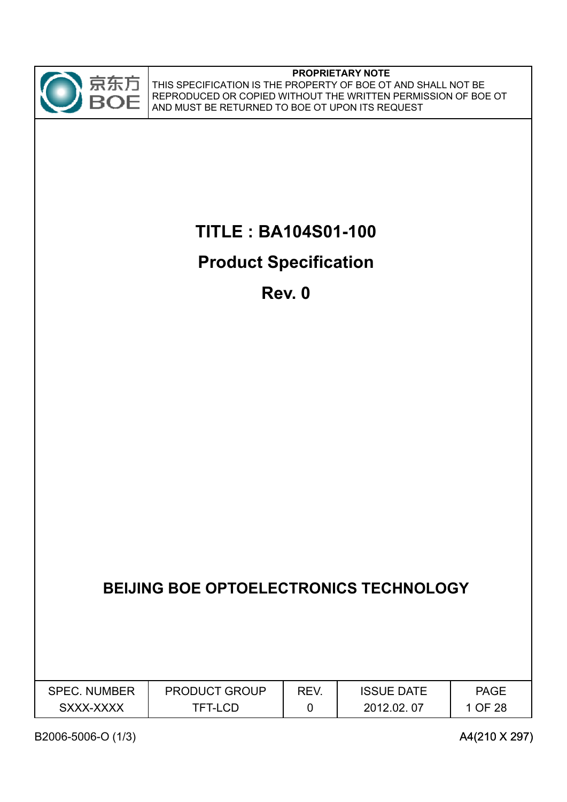

# **TITLE : BA104S01-100**

# **Product Specification**

**Rev. 0**

|                     | <b>BEIJING BOE OPTOELECTRONICS TECHNOLOGY</b> |      |                   |             |
|---------------------|-----------------------------------------------|------|-------------------|-------------|
| <b>SPEC. NUMBER</b> | <b>PRODUCT GROUP</b>                          | REV. | <b>ISSUE DATE</b> | <b>PAGE</b> |
| SXXX-XXXX           | <b>TFT-LCD</b>                                |      | 2012.02.07        | 1 OF 28     |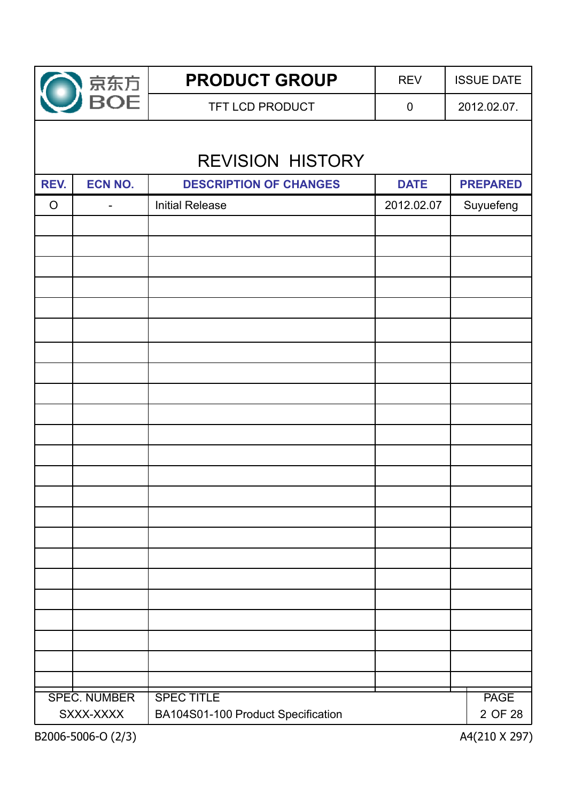

**PRODUCT GROUP** REV | ISSUE DATE TFT LCD PRODUCT 0 2012.02.07.

# REVISION HISTORY REVISION

| REV.    | <b>ECN NO.</b>                   | <b>DESCRIPTION OF CHANGES</b>                           | <b>DATE</b> | <b>PREPARED</b>        |
|---------|----------------------------------|---------------------------------------------------------|-------------|------------------------|
| $\circ$ | -                                | <b>Initial Release</b>                                  | 2012.02.07  | Suyuefeng              |
|         |                                  |                                                         |             |                        |
|         |                                  |                                                         |             |                        |
|         |                                  |                                                         |             |                        |
|         |                                  |                                                         |             |                        |
|         |                                  |                                                         |             |                        |
|         |                                  |                                                         |             |                        |
|         |                                  |                                                         |             |                        |
|         |                                  |                                                         |             |                        |
|         |                                  |                                                         |             |                        |
|         |                                  |                                                         |             |                        |
|         |                                  |                                                         |             |                        |
|         |                                  |                                                         |             |                        |
|         |                                  |                                                         |             |                        |
|         |                                  |                                                         |             |                        |
|         |                                  |                                                         |             |                        |
|         |                                  |                                                         |             |                        |
|         |                                  |                                                         |             |                        |
|         |                                  |                                                         |             |                        |
|         |                                  |                                                         |             |                        |
|         |                                  |                                                         |             |                        |
|         |                                  |                                                         |             |                        |
|         |                                  |                                                         |             |                        |
|         |                                  |                                                         |             |                        |
|         | <b>SPEC. NUMBER</b><br>SXXX-XXXX | <b>SPEC TITLE</b><br>BA104S01-100 Product Specification |             | <b>PAGE</b><br>2 OF 28 |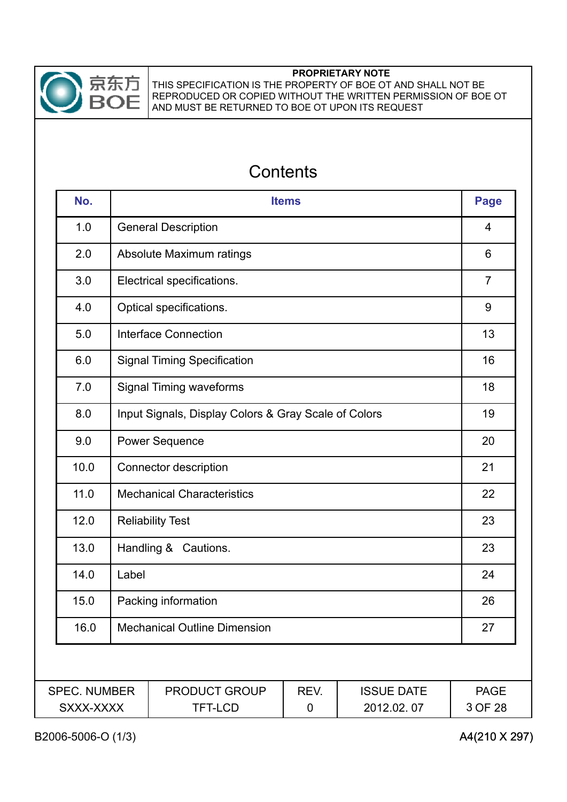

THIS SPECIFICATION IS THE PROPERTY OF BOE OT AND SHALL NOT BE REPRODUCED OR COPIED WITHOUT THE WRITTEN PERMISSION OF BOE OT AND MUST BE RETURNED TO BOE OT UPON ITS REQUEST

## **Contents**

| No.                              | <b>Items</b>                                         |                                        |           |                                 | <b>Page</b>            |  |
|----------------------------------|------------------------------------------------------|----------------------------------------|-----------|---------------------------------|------------------------|--|
| 1.0                              |                                                      | <b>General Description</b>             |           |                                 |                        |  |
| 2.0                              |                                                      | Absolute Maximum ratings               |           |                                 | 6                      |  |
| 3.0                              |                                                      | Electrical specifications.             |           |                                 | $\overline{7}$         |  |
| 4.0                              |                                                      | Optical specifications.                |           |                                 | 9                      |  |
| 5.0                              |                                                      | <b>Interface Connection</b>            |           |                                 | 13                     |  |
| 6.0                              |                                                      | <b>Signal Timing Specification</b>     |           |                                 | 16                     |  |
| 7.0                              |                                                      | <b>Signal Timing waveforms</b>         |           |                                 | 18                     |  |
| 8.0                              | Input Signals, Display Colors & Gray Scale of Colors |                                        |           |                                 | 19                     |  |
| 9.0                              | <b>Power Sequence</b>                                |                                        |           |                                 | 20                     |  |
| 10.0                             | Connector description                                |                                        |           |                                 | 21                     |  |
| 11.0                             | <b>Mechanical Characteristics</b>                    |                                        |           |                                 | 22                     |  |
| 12.0                             | <b>Reliability Test</b>                              |                                        |           |                                 | 23                     |  |
| 13.0                             |                                                      | Handling & Cautions.                   |           |                                 | 23                     |  |
| 14.0                             | Label                                                |                                        |           |                                 | 24                     |  |
| 15.0                             | Packing information                                  |                                        |           |                                 | 26                     |  |
| 16.0                             | <b>Mechanical Outline Dimension</b>                  |                                        |           | 27                              |                        |  |
|                                  |                                                      |                                        |           |                                 |                        |  |
| <b>SPEC. NUMBER</b><br>SXXX-XXXX |                                                      | <b>PRODUCT GROUP</b><br><b>TFT-LCD</b> | REV.<br>0 | <b>ISSUE DATE</b><br>2012.02.07 | <b>PAGE</b><br>3 OF 28 |  |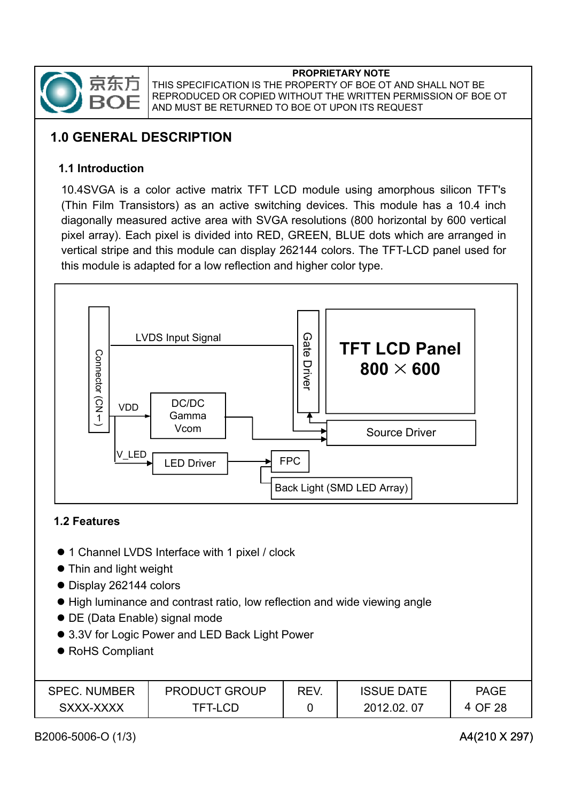

## **1.0 GENERAL DESCRIPTION**

### **1.1 Introduction**

10.4SVGA is a color active matrix TFT LCD module using amorphous silicon TFT's (Thin Film Transistors) as an active switching devices. This module has a 10.4 inch diagonally measured active area with SVGA resolutions (800 horizontal by 600 vertical pixel array). Each pixel is divided into RED, GREEN, BLUE dots which are arranged in vertical stripe and this module can display 262144 colors. The TFT-LCD panel used for this module is adapted for a low reflection and higher color type.



### **1.2 Features**

- 1 Channel LVDS Interface with 1 pixel / clock
- Thin and light weight
- Display 262144 colors
- High luminance and contrast ratio, low reflection and wide viewing angle
- DE (Data Enable) signal mode
- 3.3V for Logic Power and LED Back Light Power
- RoHS Compliant

| <b>SPEC. NUMBER</b> | <b>PRODUCT GROUP</b> | REV. | <b>ISSUE DATE</b> | <b>PAGE</b> |
|---------------------|----------------------|------|-------------------|-------------|
| SXXX-XXXX           | TFT-I CD             |      | 2012.02.07        | OF 28       |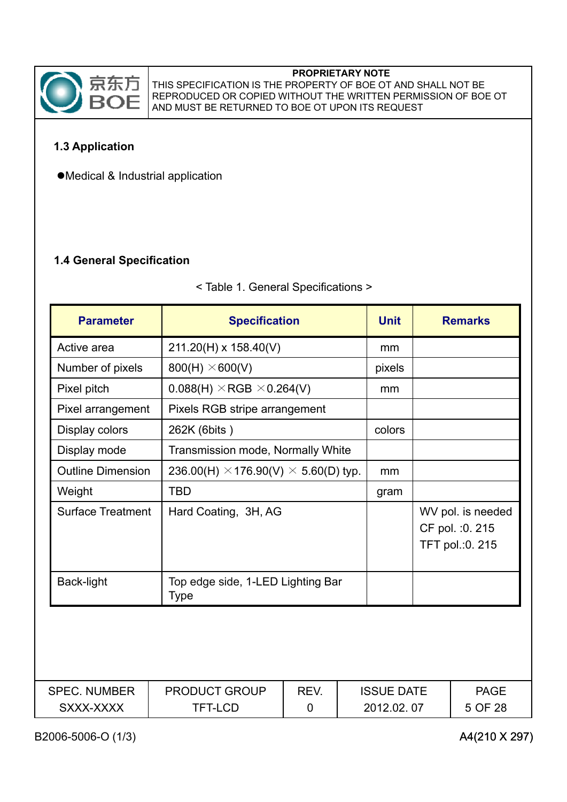

THIS SPECIFICATION IS THE PROPERTY OF BOE OT AND SHALL NOT BE REPRODUCED OR COPIED WITHOUT THE WRITTEN PERMISSION OF BOE OT AND MUST BE RETURNED TO BOE OT UPON ITS REQUEST

### **1.3 Application**

 $\bullet$ Medical & Industrial application

### **1.4 General Specification**

#### < Table 1. General Specifications >

| <b>Parameter</b>         | <b>Specification</b>                               |                                   |  | <b>Unit</b>       | <b>Remarks</b>                                           |
|--------------------------|----------------------------------------------------|-----------------------------------|--|-------------------|----------------------------------------------------------|
| Active area              | 211.20(H) x 158.40(V)                              |                                   |  | mm                |                                                          |
| Number of pixels         | $800(H) \times 600(V)$                             |                                   |  | pixels            |                                                          |
| Pixel pitch              | $0.088(H) \times RGB \times 0.264(V)$              |                                   |  | mm                |                                                          |
| Pixel arrangement        | Pixels RGB stripe arrangement                      |                                   |  |                   |                                                          |
| Display colors           | 262K (6bits)                                       |                                   |  | colors            |                                                          |
| Display mode             | Transmission mode, Normally White                  |                                   |  |                   |                                                          |
| <b>Outline Dimension</b> | 236.00(H) $\times$ 176.90(V) $\times$ 5.60(D) typ. |                                   |  | mm                |                                                          |
| Weight                   | <b>TBD</b>                                         |                                   |  |                   |                                                          |
| <b>Surface Treatment</b> | Hard Coating, 3H, AG                               |                                   |  |                   | WV pol. is needed<br>CF pol. : 0. 215<br>TFT pol.:0. 215 |
| Back-light               | <b>Type</b>                                        | Top edge side, 1-LED Lighting Bar |  |                   |                                                          |
|                          |                                                    |                                   |  |                   |                                                          |
| <b>SPEC. NUMBER</b>      | <b>PRODUCT GROUP</b>                               | REV.                              |  | <b>ISSUE DATE</b> | <b>PAGE</b>                                              |
| SXXX-XXXX                | <b>TFT-LCD</b>                                     | 0                                 |  | 2012.02.07        | 5 OF 28                                                  |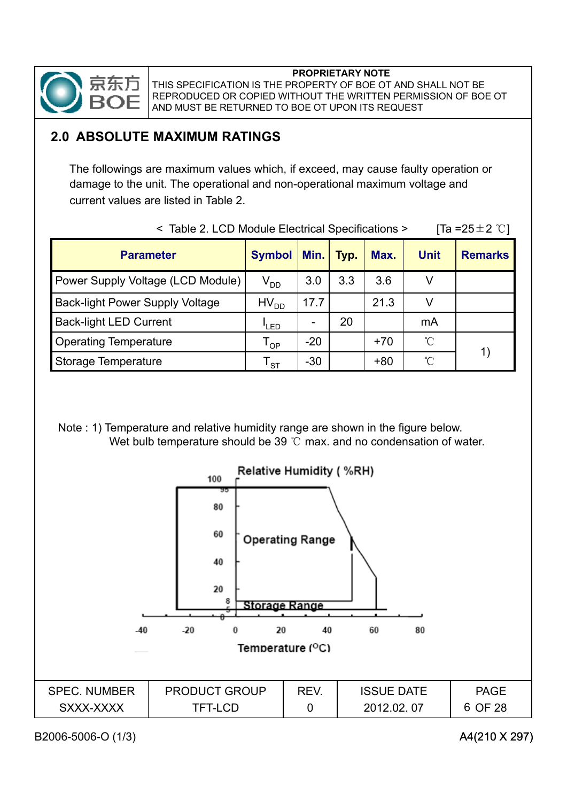

## **2.0 ABSOLUTE MAXIMUM RATINGS**

The followings are maximum values which, if exceed, may cause faulty operation or damage to the unit. The operational and non-operational maximum voltage and current values are listed in Table 2.

| <b>Parameter</b>                       | <b>Symbol</b> | Min.  | Typ. | Max.  | <b>Unit</b>  | <b>Remarks</b> |
|----------------------------------------|---------------|-------|------|-------|--------------|----------------|
| Power Supply Voltage (LCD Module)      | $V_{DD}$      | 3.0   | 3.3  | 3.6   |              |                |
| <b>Back-light Power Supply Voltage</b> | $HV_{DD}$     | 17.7  |      | 21.3  |              |                |
| <b>Back-light LED Current</b>          | 'LED          |       | 20   |       | mA           |                |
| <b>Operating Temperature</b>           | <b>OP</b>     | $-20$ |      | $+70$ | $^{\circ}$ C |                |
| <b>Storage Temperature</b>             | <b>ST</b>     | $-30$ |      | $+80$ | °C           |                |

 $\le$  Table 2. LCD Module Electrical Specifications > [Ta =25 + 2  $^{\circ}$ C1]

Note : 1) Temperature and relative humidity range are shown in the figure below. Wet bulb temperature should be 39  $\degree$ C max. and no condensation of water.

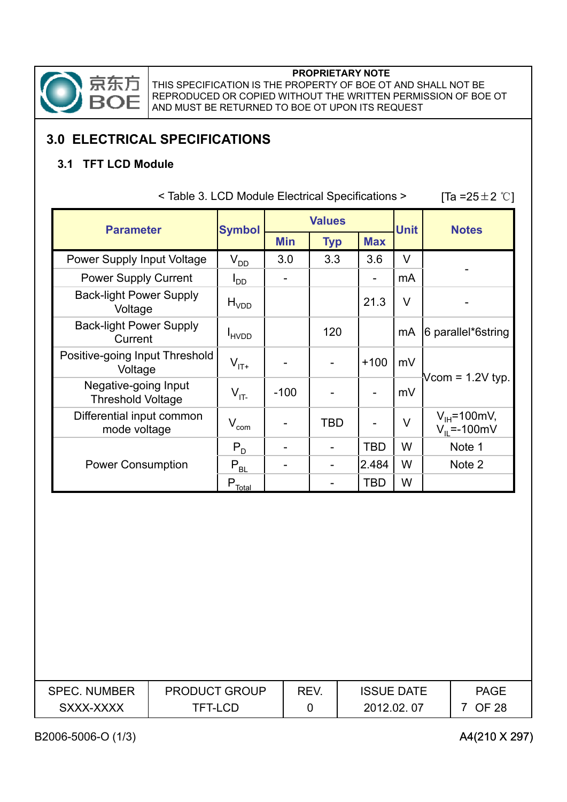

THIS SPECIFICATION IS THE PROPERTY OF BOE OT AND SHALL NOT BE REPRODUCED OR COPIED WITHOUT THE WRITTEN PERMISSION OF BOE OT AND MUST BE RETURNED TO BOE OT UPON ITS REQUEST

## **3.0 ELECTRICAL SPECIFICATIONS**

### **3.1 TFT LCD Module**

| <b>Parameter</b>                                 | <b>Symbol</b>         | <b>Values</b> |            |            | <b>Unit</b> | <b>Notes</b>                          |
|--------------------------------------------------|-----------------------|---------------|------------|------------|-------------|---------------------------------------|
|                                                  |                       | <b>Min</b>    | <b>Typ</b> | <b>Max</b> |             |                                       |
| Power Supply Input Voltage                       | $V_{DD}$              | 3.0           | 3.3        | 3.6        | V           |                                       |
| <b>Power Supply Current</b>                      | $I_{DD}$              |               |            |            | mA          |                                       |
| <b>Back-light Power Supply</b><br>Voltage        | H <sub>VDD</sub>      |               |            | 21.3       | V           |                                       |
| <b>Back-light Power Supply</b><br>Current        | <b>HVDD</b>           |               | 120        |            | mA          | 6 parallel*6string                    |
| Positive-going Input Threshold<br>Voltage        | $V_{\text{IT+}}$      |               |            | $+100$     | mV          |                                       |
| Negative-going Input<br><b>Threshold Voltage</b> | $V_{IT}$              | $-100$        |            |            | mV          | Vcom = $1.2V$ typ.                    |
| Differential input common<br>mode voltage        | $\rm V_{com}$         |               | <b>TBD</b> |            | V           | $V_{H}$ =100mV,<br>$V_{II} = -100$ mV |
|                                                  | $P_{D}$               |               |            | <b>TBD</b> | W           | Note 1                                |
| <b>Power Consumption</b>                         | $P_{BL}$              |               |            | 2.484      | W           | Note 2                                |
|                                                  | $P_{\frac{Total}{2}}$ |               |            | <b>TBD</b> | W           |                                       |

 $[Ta = 25 \pm 2 \degree\degree]$ 

| <b>SPEC. NUMBER</b> | <b>PRODUCT GROUP</b> | REV. | <b>ISSUE DATE</b> | <b>PAGE</b>  |
|---------------------|----------------------|------|-------------------|--------------|
| SXXX-XXXX           | TFT-LCD              |      | 2012.02.07        | <b>OF 28</b> |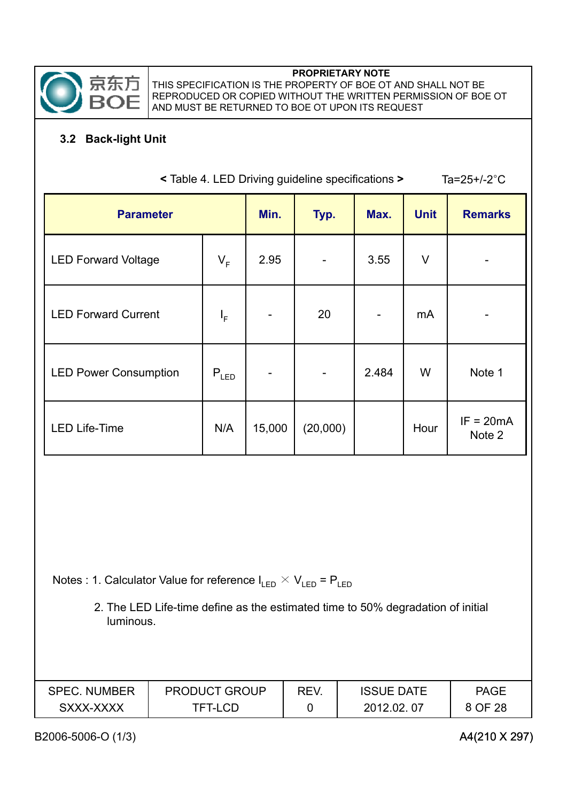

### **3.2 Back-light Unit**

| < Table 4. LED Driving guideline specifications ><br>Ta= $25+/-2$ °C |           |        |          |             |                |                       |
|----------------------------------------------------------------------|-----------|--------|----------|-------------|----------------|-----------------------|
| <b>Parameter</b>                                                     | Min.      | Typ.   | Max.     | <b>Unit</b> | <b>Remarks</b> |                       |
| <b>LED Forward Voltage</b>                                           | $V_F$     | 2.95   |          | 3.55        | $\vee$         |                       |
| <b>LED Forward Current</b>                                           | $I_F$     |        | 20       |             | mA             |                       |
| <b>LED Power Consumption</b>                                         | $P_{LED}$ |        |          | 2.484       | W              | Note 1                |
| <b>LED Life-Time</b>                                                 | N/A       | 15,000 | (20,000) |             | Hour           | $IF = 20mA$<br>Note 2 |
|                                                                      |           |        |          |             |                |                       |

Notes : 1. Calculator Value for reference  $I_{LED} \times V_{LED} = P_{LED}$ 

2. The LED Life-time define as the estimated time to 50% degradation of initial luminous.

| <b>SPEC. NUMBER</b> | <b>PRODUCT GROUP</b> | REV. | <b>ISSUE DATE</b> | <b>PAGE</b> |
|---------------------|----------------------|------|-------------------|-------------|
| SXXX-XXXX           | TFT-LCD              |      | 2012.02.07        | 8 OF 28     |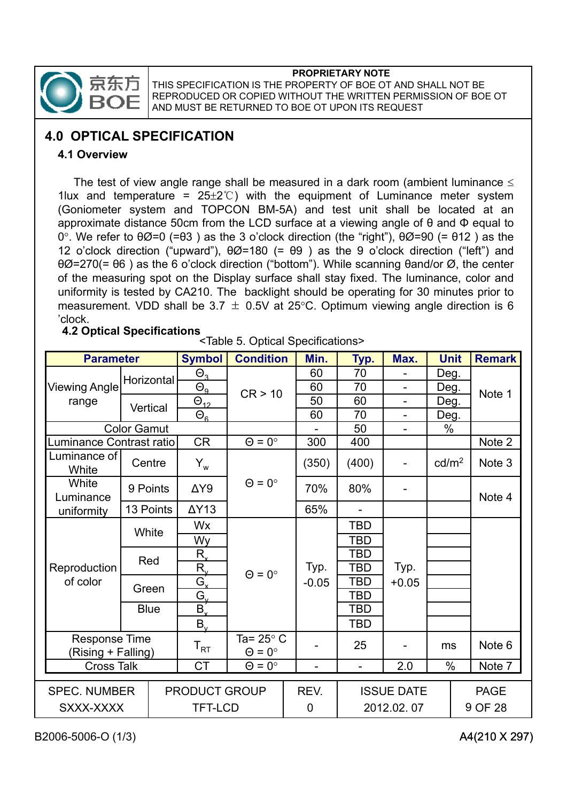

THIS SPECIFICATION IS THE PROPERTY OF BOE OT AND SHALL NOT BE REPRODUCED OR COPIED WITHOUT THE WRITTEN PERMISSION OF BOE OT AND MUST BE RETURNED TO BOE OT UPON ITS REQUEST

## **4.0 OPTICAL SPECIFICATION**

#### **4 1 Overview .**

The test of view angle range shall be measured in a dark room (ambient luminance  $\leq$ 1lux and temperature =  $25\pm2^{\circ}$  with the equipment of Luminance meter system (Goniometer system and TOPCON BM-5A) and test unit shall be located at an approximate distance 50cm from the LCD surface at a viewing angle of  $\theta$  and  $\Phi$  equal to 0°. We refer to  $\theta\emptyset$ =0 (= $\theta$ 3) as the 3 o'clock direction (the "right"),  $\theta\emptyset$ =90 (=  $\theta$ 12) as the 12 o'clock direction ("upward"),  $\theta\emptyset$ =180 (=  $\theta$ 9) as the 9 o'clock direction ("left") and  $\theta\varnothing$ =270(=  $\theta$ 6) as the 6 o'clock direction ("bottom"). While scanning  $\theta$ and/or  $\varnothing$ , the center of the measuring spot on the Display surface shall stay fixed. The luminance, color and uniformity is tested by CA210. The backlight should be operating for 30 minutes prior to measurement. VDD shall be 3.7  $\pm$  0.5V at 25°C. Optimum viewing angle direction is 6 'clock.

#### **4.2 Optical Specifications**

| . |                                                    |
|---|----------------------------------------------------|
|   | <table 5.="" optical="" specifications=""></table> |

| <b>Parameter</b>                           |                    | <b>Symbol</b>          | <b>Condition</b>                         | Min.                     | Typ.           | Max.                     | <b>Unit</b>       | <b>Remark</b>     |
|--------------------------------------------|--------------------|------------------------|------------------------------------------|--------------------------|----------------|--------------------------|-------------------|-------------------|
|                                            | Horizontal         | $\Theta_{3}$           |                                          | 60                       | 70             |                          | Deg.              |                   |
| <b>Viewing Angle</b>                       |                    | $\Theta_{\rm g}$       | CR > 10                                  | 60                       | 70             |                          | Deg.              | Note 1            |
| range                                      | Vertical           | $\Theta_{12}$          |                                          | 50                       | 60             | $\overline{\phantom{0}}$ | Deg.              |                   |
|                                            |                    | $\Theta_{6}$           |                                          | 60                       | 70             | $\overline{\phantom{0}}$ | Deg.              |                   |
|                                            | <b>Color Gamut</b> |                        |                                          |                          | 50             |                          | $\%$              |                   |
| Luminance Contrast ratio                   |                    | <b>CR</b>              | $\Theta = 0^\circ$                       | 300                      | 400            |                          |                   | Note 2            |
| Luminance of<br>White                      | Centre             | $Y_w$                  |                                          | (350)                    | (400)          |                          | cd/m <sup>2</sup> | Note 3            |
| White<br>Luminance                         | 9 Points           | $\Delta Y9$            | $\Theta = 0^\circ$                       | 70%                      | 80%            |                          |                   | Note 4            |
| uniformity                                 | 13 Points          | $\Delta Y$ 13          |                                          | 65%                      | $\overline{a}$ |                          |                   |                   |
|                                            |                    | Wx                     |                                          |                          | <b>TBD</b>     |                          |                   |                   |
|                                            | White              | Wy                     |                                          |                          | <b>TBD</b>     |                          |                   |                   |
|                                            | Red                | $R_{\rm x}$            |                                          |                          | TBD            |                          |                   |                   |
| Reproduction                               |                    | $R_{v}$                | $\Theta = 0^\circ$                       | Typ.                     | TBD            | Typ.                     |                   |                   |
| of color                                   | Green              | Ġ,                     |                                          | $-0.05$                  | TBD            | $+0.05$                  |                   |                   |
|                                            |                    | $G_{v}$                |                                          |                          | TBD            |                          |                   |                   |
|                                            | <b>Blue</b>        | $\overline{B}$         |                                          |                          | <b>TBD</b>     |                          |                   |                   |
|                                            |                    | $B_{v}$                |                                          |                          | <b>TBD</b>     |                          |                   |                   |
| <b>Response Time</b><br>(Rising + Falling) |                    | ${\mathsf T}_{\sf RT}$ | Ta= $25^{\circ}$ C<br>$\Theta = 0^\circ$ |                          | 25             |                          | ms                | Note <sub>6</sub> |
| <b>Cross Talk</b>                          |                    | <b>CT</b>              | $\Theta = 0^{\circ}$                     | $\overline{\phantom{a}}$ | $\overline{a}$ | 2.0                      | $\%$              | Note 7            |
| <b>SPEC. NUMBER</b>                        |                    | <b>PRODUCT GROUP</b>   |                                          | REV.                     |                | <b>ISSUE DATE</b>        |                   | <b>PAGE</b>       |
| SXXX-XXXX                                  |                    | <b>TFT-LCD</b>         |                                          | $\mathbf 0$              |                | 2012.02.07               |                   | 9 OF 28           |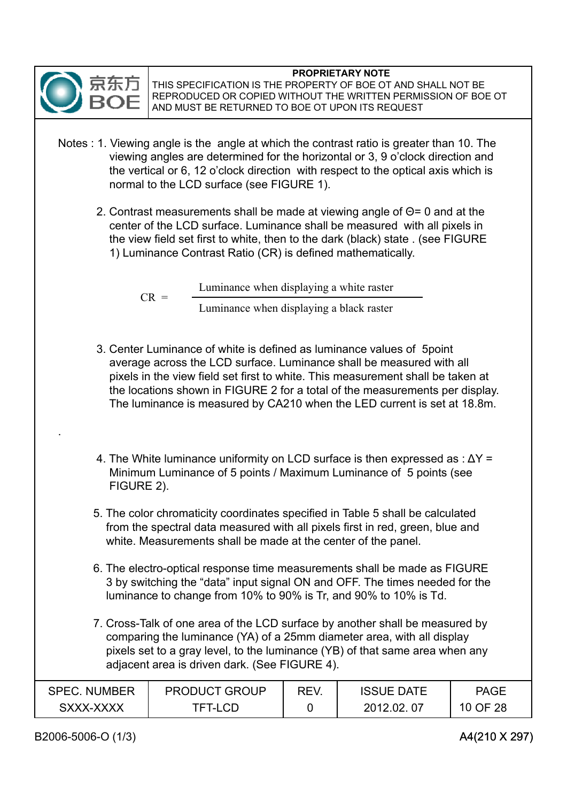

THIS SPECIFICATION IS THE PROPERTY OF BOE OT AND SHALL NOT BE REPRODUCED OR COPIED WITHOUT THE WRITTEN PERMISSION OF BOE OT AND MUST BE RETURNED TO BOE OT UPON ITS REQUEST

- Notes : 1. Viewing angle is the angle at which the contrast ratio is greater than 10. The viewing angles are determined for the horizontal or 3, 9 o' clock direction and the vertical or 6, 12 o'clock direction with respect to the optical axis which is normal to the LCD surface (see FIGURE 1).
	- 2. Contrast measurements shall be made at viewing angle of  $\Theta$ = 0 and at the center of the LCD surface. Luminance shall be measured with all pixels in the view field set first to white, then to the dark (black) state . (see FIGURE 1) Luminance Contrast Ratio (CR) is defined mathematically 1) Luminance Contrast Ratio (CR) is defined mathematically.

 $CR =$ Luminance when displaying a white raster Luminance when displaying a black raster

- 3. Center Luminance of white is defined as luminance values of 5point average across the LCD surface. Luminance shall be measured with all pixels in the view field set first to white. This measurement shall be taken at the locations shown in FIGURE 2 for a total of the measurements per display. The luminance is measured by CA210 when the LED current is set at 18.8m.
- 4. The White luminance uniformity on LCD surface is then expressed as :  $\Delta Y =$ Minimum Luminance of 5 points / Maximum Luminance of 5 points (see FIGURE 2).
- 5. The color chromaticity coordinates specified in Table 5 shall be calculated from the spectral data measured with all pixels first in red, green, blue and white. Measurements shall be made at the center of the panel.
- 6. The electro-optical response time measurements shall be made as FIGURE 3 by switching the "data" input signal ON and OFF. The times needed for the luminance to change from 10% to 90% is Tr, and 90% to 10% is Td.
- 7. Cross-Talk of one area of the LCD surface by another shall be measured by comparing the luminance (YA) of a 25mm diameter area, with all display pixels set to a gray level, to the luminance (YB) of that same area when any adjacent area is driven dark. (See FIGURE 4).

| <b>SPEC. NUMBER</b> | <b>PRODUCT GROUP</b> | REV. | <b>ISSUE DATE</b> | <b>PAGE</b> |
|---------------------|----------------------|------|-------------------|-------------|
| SXXX-XXXX           | TFT-LCD              |      | 2012.02.          | 10 OF 28    |

.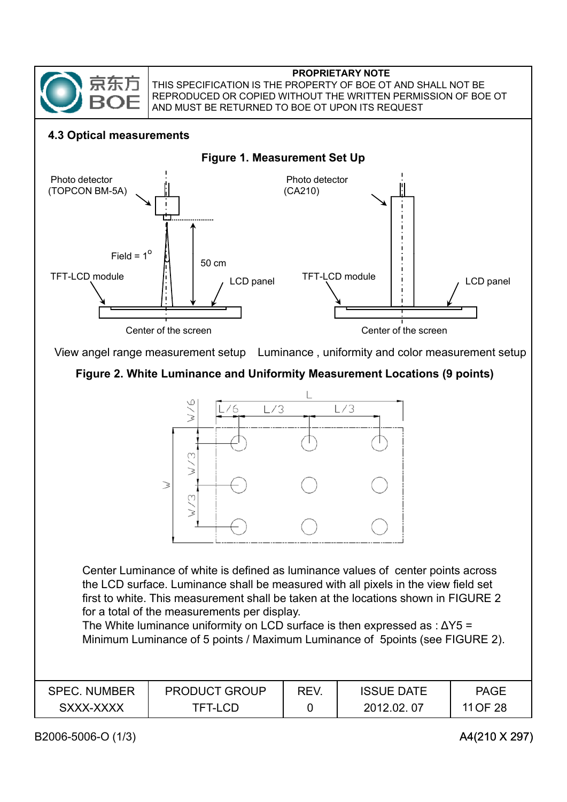

THIS SPECIFICATION IS THE PROPERTY OF BOE OT AND SHALL NOT BE REPRODUCED OR COPIED WITHOUT THE WRITTEN PERMISSION OF BOE OT AND MUST BE RETURNED TO BOE OT UPON ITS REQUEST

#### **4.3 Optical measurements**



### **Figure 2. White Luminance and Uniformity Measurement Locations (9 points)**



Center Luminance of white is defined as luminance values of center points across the LCD surface. Luminance shall be measured with all pixels in the view field set first to white. This measurement shall be taken at the locations shown in FIGURE 2 for a total of the measurements per display.

The White luminance uniformity on LCD surface is then expressed as :  $\Delta Y5 =$ Minimum Luminance of 5 points / Maximum Luminance of 5points (see FIGURE 2).

| <b>SPEC. NUMBER</b> | <b>PRODUCT GROUP</b> | REV. | <b>ISSUE DATE</b> | <b>PAGE</b> |
|---------------------|----------------------|------|-------------------|-------------|
| SXXX-XXXX           | TFT-LCD              |      | 2012.02.07        | 11 OF 28    |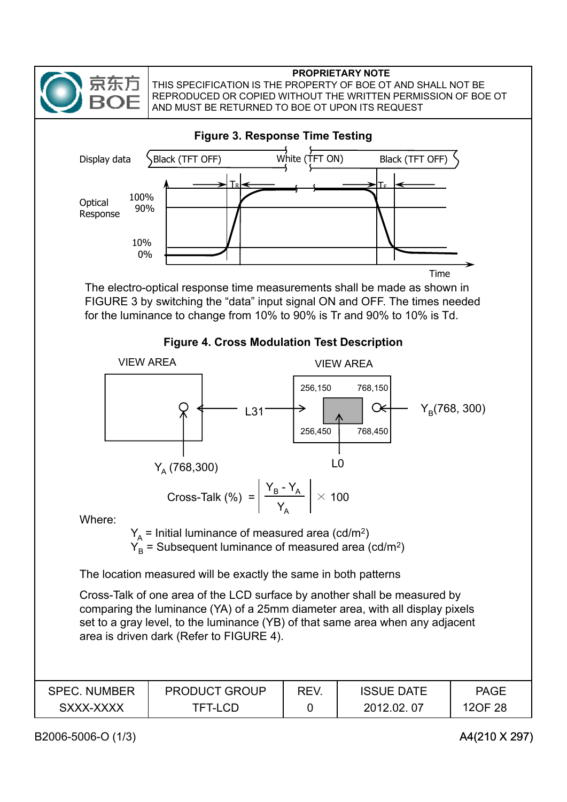

THIS SPECIFICATION IS THE PROPERTY OF BOE OT AND SHALL NOT BE REPRODUCED OR COPIED WITHOUT THE WRITTEN PERMISSION OF BOE OT AND MUST BE RETURNED TO BOE OT UPON ITS REQUEST

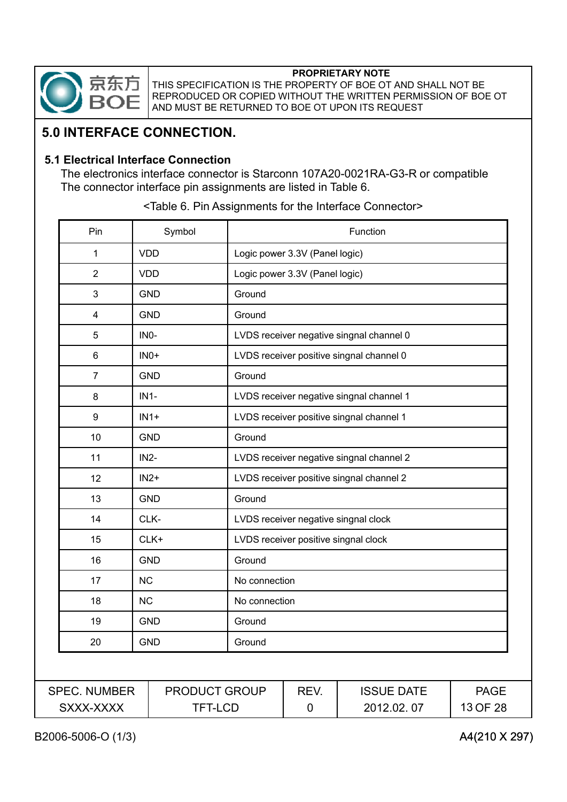

THIS SPECIFICATION IS THE PROPERTY OF BOE OT AND SHALL NOT BE REPRODUCED OR COPIED WITHOUT THE WRITTEN PERMISSION OF BOE OT AND MUST BE RETURNED TO BOE OT UPON ITS REQUEST

## **5.0 INTERFACE CONNECTION.**

#### **5.1 Electrical Interface Connection**

The electronics interface connector is Starconn 107A20-0021RA-G3-R or compatible The connector interface pin assignments are listed in Table 6.

| Pin                              |                   | Symbol                          | Function                                 |                                      |                                          |                         |
|----------------------------------|-------------------|---------------------------------|------------------------------------------|--------------------------------------|------------------------------------------|-------------------------|
| 1                                | <b>VDD</b>        |                                 |                                          | Logic power 3.3V (Panel logic)       |                                          |                         |
| $\overline{2}$                   | <b>VDD</b>        |                                 |                                          | Logic power 3.3V (Panel logic)       |                                          |                         |
| 3                                |                   | <b>GND</b>                      | Ground                                   |                                      |                                          |                         |
| 4                                |                   | <b>GND</b>                      | Ground                                   |                                      |                                          |                         |
| 5                                | IN <sub>0</sub> - |                                 |                                          |                                      | LVDS receiver negative singnal channel 0 |                         |
| 6                                |                   | $INO+$                          |                                          |                                      | LVDS receiver positive singnal channel 0 |                         |
| $\overline{7}$                   |                   | <b>GND</b>                      | Ground                                   |                                      |                                          |                         |
| 8                                | $IN1-$            |                                 | LVDS receiver negative singnal channel 1 |                                      |                                          |                         |
| $\boldsymbol{9}$                 |                   | $IN1+$                          | LVDS receiver positive singnal channel 1 |                                      |                                          |                         |
| 10                               |                   | <b>GND</b>                      | Ground                                   |                                      |                                          |                         |
| 11                               | $IN2-$            |                                 | LVDS receiver negative singnal channel 2 |                                      |                                          |                         |
| 12                               |                   | $IN2+$                          | LVDS receiver positive singnal channel 2 |                                      |                                          |                         |
| 13                               |                   | <b>GND</b>                      | Ground                                   |                                      |                                          |                         |
| 14                               |                   | CLK-                            |                                          |                                      | LVDS receiver negative singnal clock     |                         |
| 15                               |                   | CLK+                            |                                          | LVDS receiver positive singnal clock |                                          |                         |
| 16                               |                   | <b>GND</b>                      | Ground                                   |                                      |                                          |                         |
| 17                               | <b>NC</b>         |                                 | No connection                            |                                      |                                          |                         |
| 18                               | <b>NC</b>         |                                 | No connection                            |                                      |                                          |                         |
| 19                               |                   | <b>GND</b>                      | Ground                                   |                                      |                                          |                         |
| 20                               |                   | <b>GND</b>                      | Ground                                   |                                      |                                          |                         |
|                                  |                   |                                 |                                          |                                      |                                          |                         |
| <b>SPEC. NUMBER</b><br>SXXX-XXXX |                   | PRODUCT GROUP<br><b>TFT-LCD</b> |                                          | REV.<br>0                            | <b>ISSUE DATE</b><br>2012.02.07          | <b>PAGE</b><br>13 OF 28 |
|                                  |                   |                                 |                                          |                                      |                                          |                         |

<Table 6. Pin Assignments for the Interface Connector>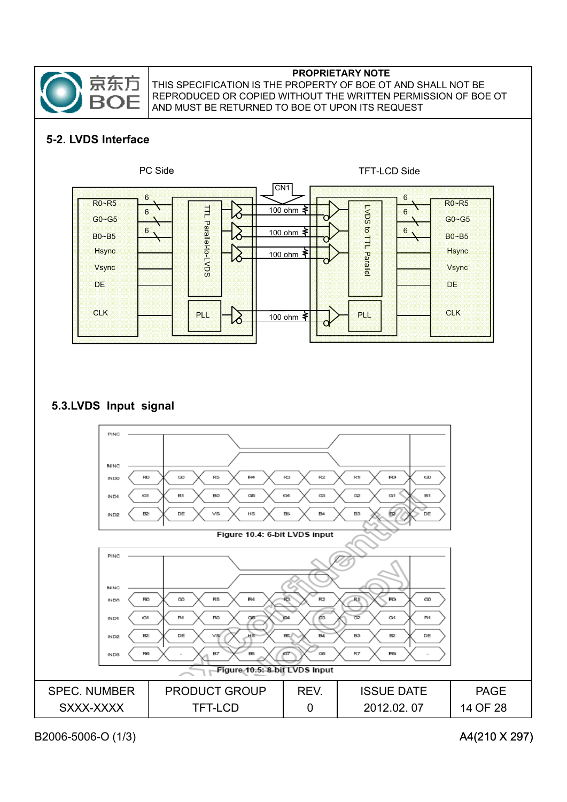

## **5-2. LVDS Interface**



### **5.3.LVDS Input signal**

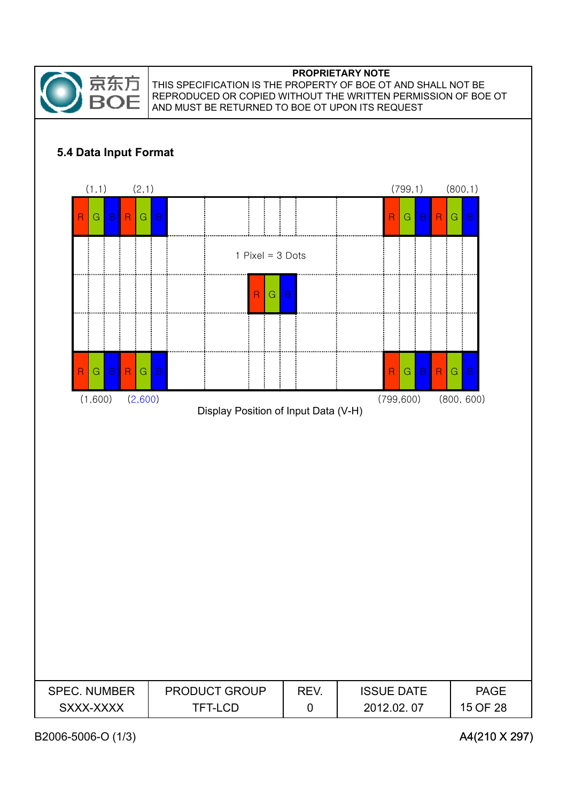

THIS SPECIFICATION IS THE PROPERTY OF BOE OT AND SHALL NOT BE REPRODUCED OR COPIED WITHOUT THE WRITTEN PERMISSION OF BOE OT AND MUST BE RETURNED TO BOE OT UPON ITS REQUEST

### **5.4 Data Input Format**

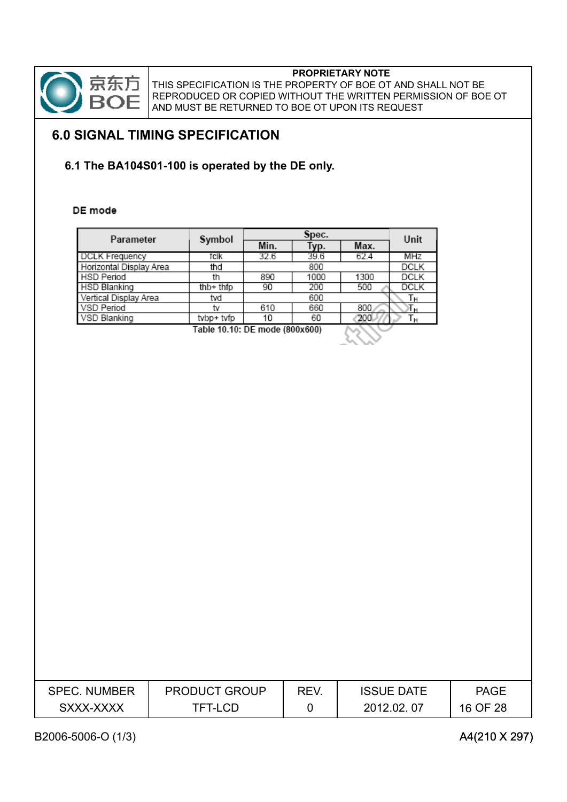

83 X X

THIS SPECIFICATION IS THE PROPERTY OF BOE OT AND SHALL NOT BE REPRODUCED OR COPIED WITHOUT THE WRITTEN PERMISSION OF BOE OT AND MUST BE RETURNED TO BOE OT UPON ITS REQUEST

## **6.0 SIGNAL TIMING SPECIFICATION**

### **6.1 The BA104S01-100 is operated by the DE only.**

#### DE mode

| Parameter               | Symbol                         |      | Unit |      |             |
|-------------------------|--------------------------------|------|------|------|-------------|
|                         |                                | Min. | Гур. | Max. |             |
| <b>DCLK Frequency</b>   | fclk                           | 32.6 | 39.6 | 62.4 | MHZ         |
| Horizontal Display Area | thd                            |      | 800  |      | <b>DCLK</b> |
| <b>HSD Period</b>       | th                             | 890  | 1000 | 1300 | <b>DCLK</b> |
| <b>HSD Blanking</b>     | $thb+thfp$                     | 90   | 200  | 500  | <b>DCLK</b> |
| Vertical Display Area   | tvd                            |      | 600  |      | Τн          |
| VSD Period              | tv                             | 610  | 660  | 800  | тн          |
| VSD Blanking            | tvbp+ tvfp                     | 10   | 60   | 200. | ١н          |
|                         | Cable 10 10: DE mode (800x600) |      |      |      |             |

Table 10.10: DE mode (800x600)

| <b>SPEC. NUMBER</b> | PRODUCT GROUP | REV. | <b>ISSUE DATE</b> | <b>PAGE</b> |
|---------------------|---------------|------|-------------------|-------------|
| SXXX-XXXX           | TFT-LCD       |      | 2012.02.07        | 16 OF 28    |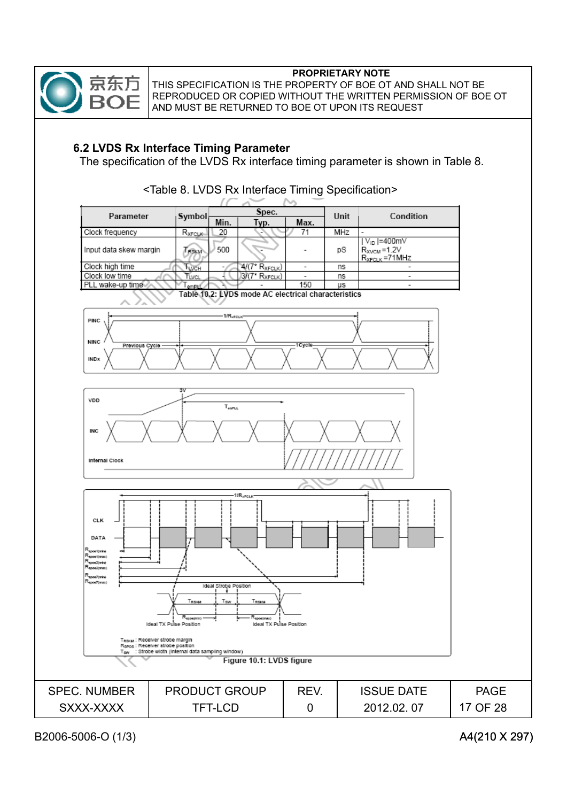

THIS SPECIFICATION IS THE PROPERTY OF BOE OT AND SHALL NOT BE REPRODUCED OR COPIED WITHOUT THE WRITTEN PERMISSION OF BOE OT AND MUST BE RETURNED TO BOE OT UPON ITS REQUEST

### **6.2 LVDS Rx Interface Timing Parameter**

The specification of the LVDS Rx interface timing parameter is shown in Table 8.



<Table 8. LVDS Rx Interface Timing Specification>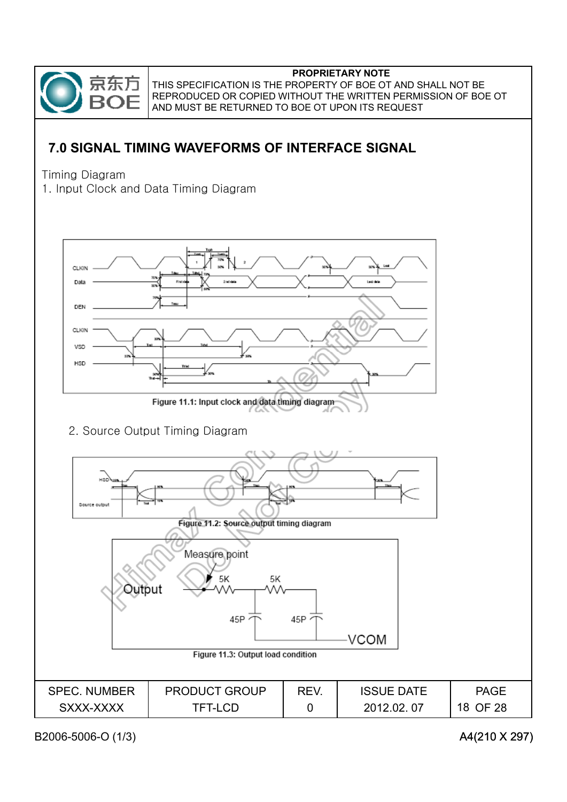

## **7.0 SIGNAL TIMING WAVEFORMS OF INTERFACE SIGNAL**

Timing Diagram

1. Input Clock and Data Timing Diagram

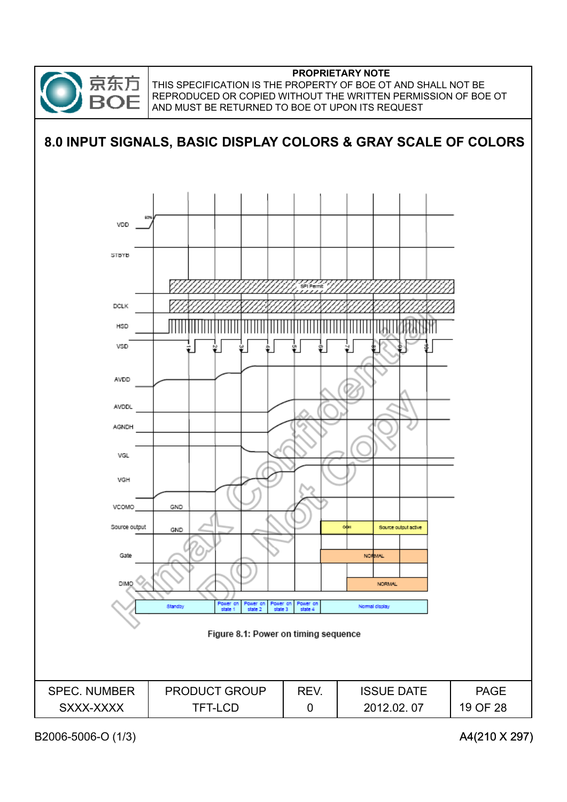

THIS SPECIFICATION IS THE PROPERTY OF BOE OT AND SHALL NOT BE REPRODUCED OR COPIED WITHOUT THE WRITTEN PERMISSION OF BOE OT AND MUST BE RETURNED TO BOE OT UPON ITS REQUEST

## **8.0 INPUT SIGNALS, BASIC DISPLAY COLORS & GRAY SCALE OF COLORS** VDD **STBYB DCLK** HSD VSD AVDD AVDDL **AGNDI** VGL VGH VCOMO GND Source output active Source output GND Gate **NORMAL DIMC NORMAL** Standby Power o<br>منطقه Normal display Figure 8.1: Power on timing sequence SPEC. NUMBER PRODUCT GROUP REV. ISSUE DATE PAGE SXXX-XXXX TFT-LCD 0 19 OF 282012.02. 07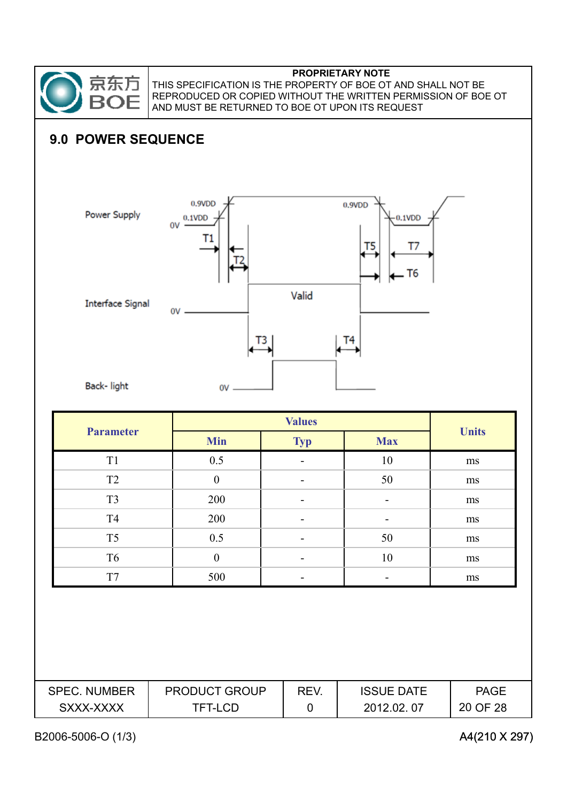

THIS SPECIFICATION IS THE PROPERTY OF BOE OT AND SHALL NOT BE REPRODUCED OR COPIED WITHOUT THE WRITTEN PERMISSION OF BOE OT AND MUST BE RETURNED TO BOE OT UPON ITS REQUEST

## **9.0 POWER SEQUENCE**



| <b>Parameter</b> |                  |            |                |              |
|------------------|------------------|------------|----------------|--------------|
|                  | <b>Min</b>       | <b>Typ</b> | <b>Max</b>     | <b>Units</b> |
| T <sub>1</sub>   | 0.5              |            | 10             | ms           |
| T <sub>2</sub>   | $\boldsymbol{0}$ |            | 50             | ms           |
| T <sub>3</sub>   | 200              |            | $\blacksquare$ | ms           |
| T <sub>4</sub>   | 200              |            |                | ms           |
| T <sub>5</sub>   | 0.5              |            | 50             | ms           |
| T <sub>6</sub>   | $\boldsymbol{0}$ |            | 10             | ms           |
| T7               | 500              |            |                | ms           |

| <b>SPEC. NUMBER</b> | <b>PRODUCT GROUP</b> | <b>REV</b> | <b>ISSUE DATE</b> | <b>PAGE</b> |
|---------------------|----------------------|------------|-------------------|-------------|
| SXXX-XXXX           | TFT-LCD              |            | 2012.02.07        | 20 OF 28    |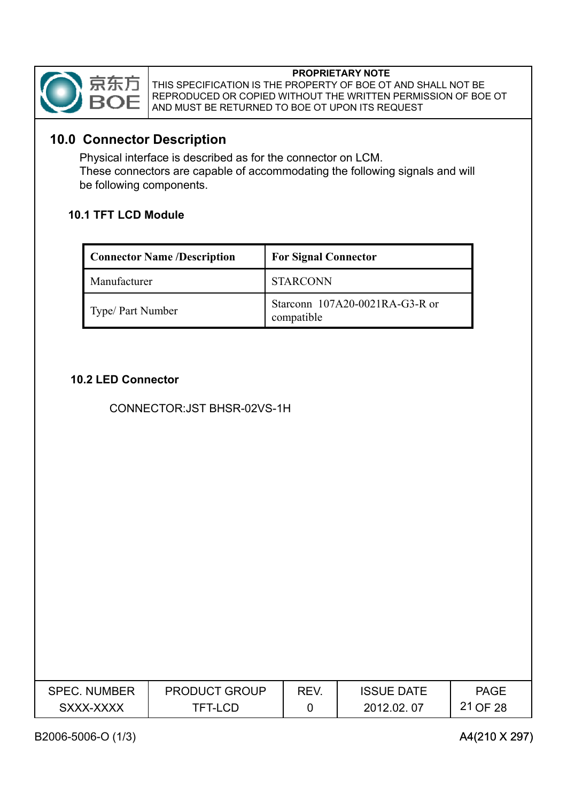

THIS SPECIFICATION IS THE PROPERTY OF BOE OT AND SHALL NOT BE REPRODUCED OR COPIED WITHOUT THE WRITTEN PERMISSION OF BOE OT AND MUST BE RETURNED TO BOE OT UPON ITS REQUEST

### **10.0 Connector Description**

Physical interface is described as for the connector on LCM. These connectors are capable of accommodating the following signals and will be following components.

### **10.1 TFT LCD Module**

| <b>Connector Name /Description</b> | <b>For Signal Connector</b>                  |
|------------------------------------|----------------------------------------------|
| Manufacturer                       | <b>STARCONN</b>                              |
| Type/ Part Number                  | Starconn 107A20-0021RA-G3-R or<br>compatible |

### **10.2 LED Connector**

CONNECTOR:JST BHSR-02VS-1H

| <b>SPEC. NUMBER</b> | <b>PRODUCT GROUP</b> | REV. | <b>ISSUE DATE</b> | <b>PAGE</b> |
|---------------------|----------------------|------|-------------------|-------------|
| SXXX-XXXX           | TFT-LCD              |      | 2012.02.07        | 21 OF 28    |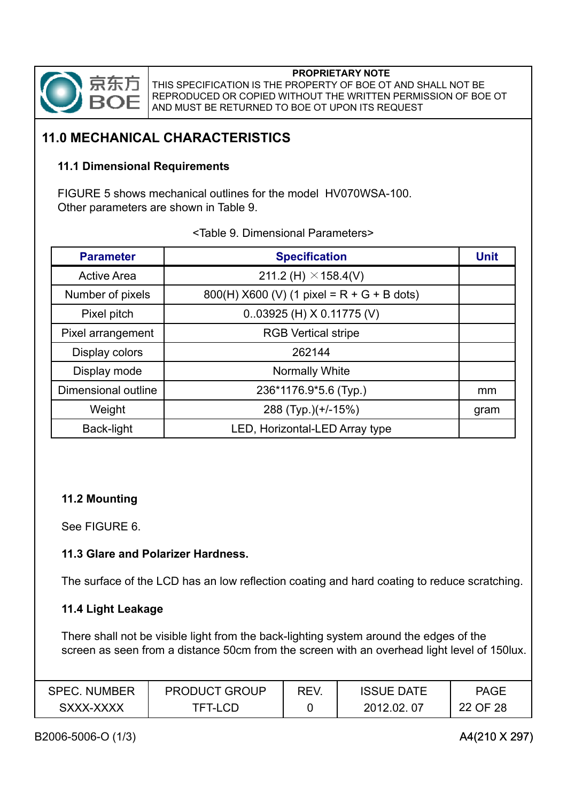

THIS SPECIFICATION IS THE PROPERTY OF BOE OT AND SHALL NOT BE REPRODUCED OR COPIED WITHOUT THE WRITTEN PERMISSION OF BOE OT AND MUST BE RETURNED TO BOE OT UPON ITS REQUEST

## **11.0 MECHANICAL CHARACTERISTICS**

#### **11.1 Dimensional Requirements**

FIGURE 5 shows mechanical outlines for the model HV070WSA-100. Other parameters are shown in Table 9.

| <b>Parameter</b>    | <b>Specification</b>                         | <b>Unit</b> |
|---------------------|----------------------------------------------|-------------|
| <b>Active Area</b>  | 211.2 (H) $\times$ 158.4(V)                  |             |
| Number of pixels    | 800(H) $X600$ (V) (1 pixel = R + G + B dots) |             |
| Pixel pitch         | $0.03925$ (H) X 0.11775 (V)                  |             |
| Pixel arrangement   | <b>RGB Vertical stripe</b>                   |             |
| Display colors      | 262144                                       |             |
| Display mode        | <b>Normally White</b>                        |             |
| Dimensional outline | 236*1176.9*5.6 (Typ.)                        | mm          |
| Weight              | 288 (Typ.)(+/-15%)                           | gram        |
| Back-light          | LED, Horizontal-LED Array type               |             |

<Table 9. Dimensional Parameters>

### **11.2 Mounting**

See FIGURE 6.

#### **11.3 Glare and Polarizer Hardness.**

The surface of the LCD has an low reflection coating and hard coating to reduce scratching.

#### **11.4 Light Leakage**

There shall not be visible light from the back-lighting system around the edges of the screen as seen from a distance 50cm from the screen with an overhead light level of 150lux.

| <b>SPEC. NUMBER</b> | <b>PRODUCT GROUP</b> | REV | <b>ISSUE DATE</b> | <b>PAGE</b> |
|---------------------|----------------------|-----|-------------------|-------------|
| SXXX-XXXX           | TFT-LCD              |     | 2012.02.<br>-07   | 22 OF 28    |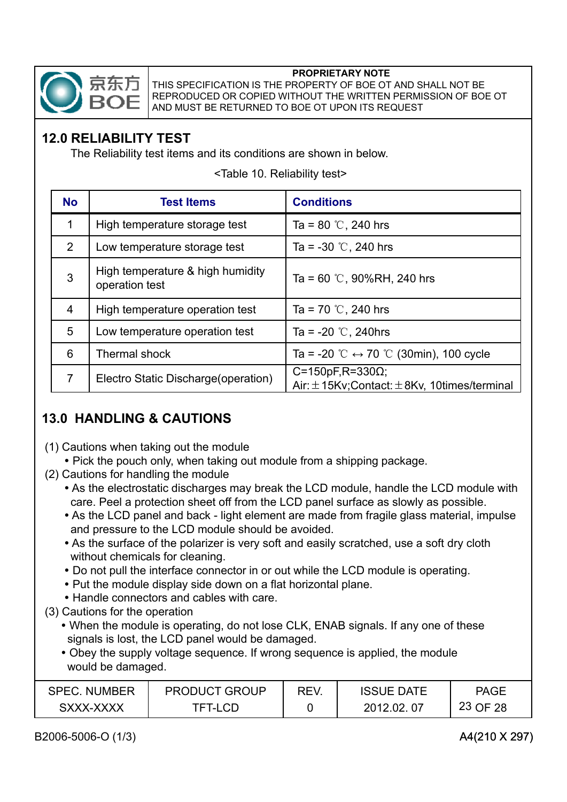

THIS SPECIFICATION IS THE PROPERTY OF BOE OT AND SHALL NOT BE REPRODUCED OR COPIED WITHOUT THE WRITTEN PERMISSION OF BOE OT AND MUST BE RETURNED TO BOE OT UPON ITS REQUEST

## **12.0 RELIABILITY TEST**

The Reliability test items and its conditions are shown in below.

| <b>No</b>      | <b>Test Items</b>                                  | <b>Conditions</b>                                                              |
|----------------|----------------------------------------------------|--------------------------------------------------------------------------------|
| 1              | High temperature storage test                      | Ta = 80 °C, 240 hrs                                                            |
| $\overline{2}$ | Low temperature storage test                       | Ta = $-30$ °C, 240 hrs                                                         |
| 3              | High temperature & high humidity<br>operation test | Ta = $60$ °C, 90%RH, 240 hrs                                                   |
| $\overline{4}$ | High temperature operation test                    | Ta = 70 °C, 240 hrs                                                            |
| 5              | Low temperature operation test                     | Ta = $-20$ °C, 240hrs                                                          |
| 6              | Thermal shock                                      | Ta = -20 °C $\leftrightarrow$ 70 °C (30min), 100 cycle                         |
| $\overline{7}$ | Electro Static Discharge (operation)               | $C = 150pF$ , R=330Ω;<br>Air: $\pm$ 15Kv; Contact: $\pm$ 8Kv, 10times/terminal |

<Table 10. Reliability test>

## **13.0 HANDLING & CAUTIONS**

- (1) Cautions when taking out the module (1) Cautions when taking out the
	- Pick the pouch only, when taking out module from a shipping package.
- (2) Cautions for handling the module
	- As the electrostatic discharges may break the LCD module, handle the LCD module with care. Peel a protection sheet off from the LCD panel surface as slowly as possible.
	- As the LCD panel and back light element are made from fragile glass material, impulse and pressure to the LCD module should be avoided.
	- As the surface of the polarizer is very soft and easily scratched, use a soft dry cloth without chemicals for cleaning.
	- Do not pull the interface connector in or out while the LCD module is operating.
	- Put the module display side down on a flat horizontal plane.
	- Handle connectors and cables with care.
- (3) Cautions for the operation
	- When the module is operating, do not lose CLK, ENAB signals. If any one of these signals is lost, the LCD panel would be damaged.
	- Obey the supply voltage sequence. If wrong sequence is applied, the module would be damaged.

| <b>SPEC. NUMBER</b> | <b>PRODUCT GROUP</b> | REV. | <b>ISSUE DATE</b> | <b>PAGE</b> |
|---------------------|----------------------|------|-------------------|-------------|
| SXXX-XXXX           | TET-LCD.             |      | 2012.02.07        | 23 OF 28    |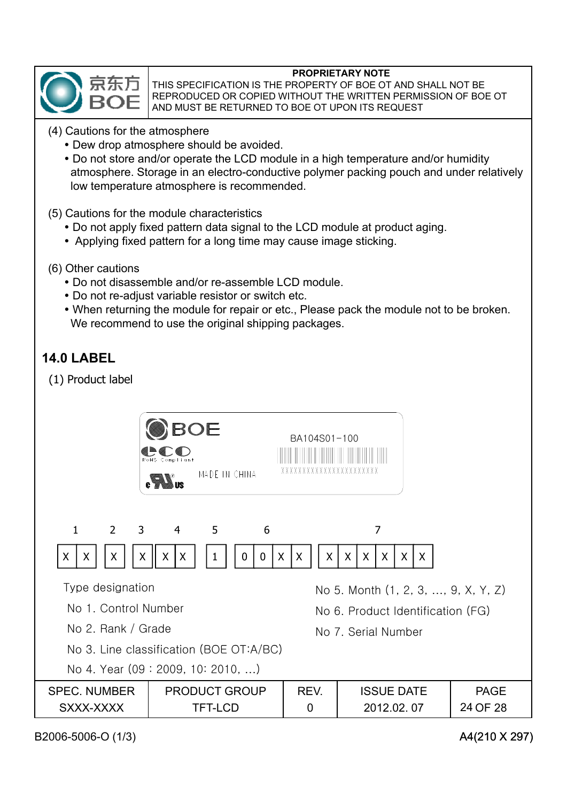

THIS SPECIFICATION IS THE PROPERTY OF BOE OT AND SHALL NOT BE REPRODUCED OR COPIED WITHOUT THE WRITTEN PERMISSION OF BOE OT AND MUST BE RETURNED TO BOE OT UPON ITS REQUEST

- (4) Cautions for the atmosphere
	- Dew drop atmosphere should be avoided.
	- Do not store and/or operate the LCD module in a high temperature and/or humidity atmosphere. Storage in an electro-conductive polymer packing pouch and under relatively low temperature atmosphere is recommended.
- (5) Cautions for the module characteristics
	- Do not apply fixed pattern data signal to the LCD module at product aging.
	- Applying fixed pattern for a long time may cause image sticking.
- (6) Other cautions
	- Do not disassemble and/or re-assemble LCD module.
	- Do not re-adjust variable resistor or switch etc.
	- When returning the module for repair or etc., Please pack the module not to be broken. We recommend to use the original shipping packages.

## **14.0 LABEL**

(1) Product label

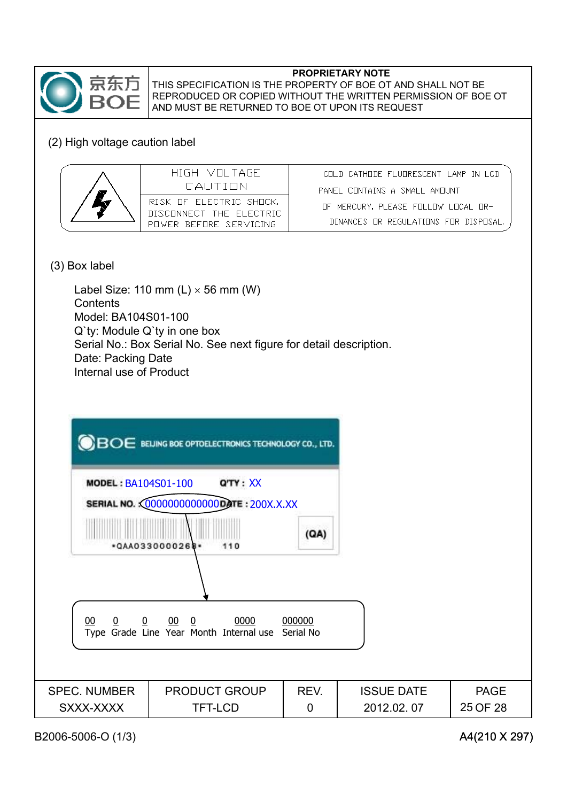

### (2) High voltage caution label

| HIGH VIILTAGE<br>CALITION                                                    | CHEN CATHONE FLUDRESCENT LAMP IN LCD<br>PANEL CHNTAINS A SMALL AMHUNT         |
|------------------------------------------------------------------------------|-------------------------------------------------------------------------------|
| RISK OF FLECTRIC SHOCK.<br>DISCONNECT THE ELECTRIC<br>PUWER REEURE SERVICING | THE MERCURY. PLEASE FOLLOW LOCAL OR-<br>DINANCES OR REGULATIONS FOR DISPOSAL. |

#### (3) Box label

Label Size: 110 mm  $(L) \times 56$  mm (W) **Contents** Model: BA104S01-100 Q`ty: Module Q`ty in one box Serial No.: Box Serial No. See next figure for detail description. Date: Packing Date Internal use of Product

| <b>MODEL: BA104S01-100</b>                                                                                                 | <b>OBOE</b> BELING BOE OPTOELECTRONICS TECHNOLOGY CO., LTD.<br>Q'TY: XX     |             |                                 |                         |
|----------------------------------------------------------------------------------------------------------------------------|-----------------------------------------------------------------------------|-------------|---------------------------------|-------------------------|
|                                                                                                                            | SERIAL NO. <00000000000000 ATE: 200X.X.XX<br>(AA)<br>*QAA0330000268*<br>110 |             |                                 |                         |
|                                                                                                                            |                                                                             |             |                                 |                         |
| $\overline{0}$<br>$00 \t 0$<br>0000<br>000000<br>00<br>$\overline{0}$<br>Type Grade Line Year Month Internal use Serial No |                                                                             |             |                                 |                         |
| <b>SPEC. NUMBER</b>                                                                                                        |                                                                             | REV.        |                                 |                         |
| SXXX-XXXX                                                                                                                  | <b>PRODUCT GROUP</b><br><b>TFT-LCD</b>                                      | $\mathbf 0$ | <b>ISSUE DATE</b><br>2012.02.07 | <b>PAGE</b><br>25 OF 28 |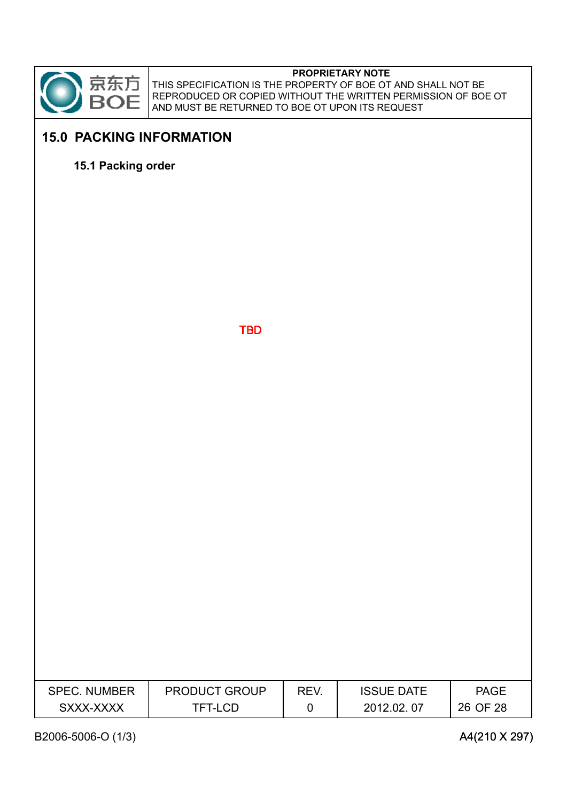

THIS SPECIFICATION IS THE PROPERTY OF BOE OT AND SHALL NOT BE REPRODUCED OR COPIED WITHOUT THE WRITTEN PERMISSION OF BOE OT AND MUST BE RETURNED TO BOE OT UPON ITS REQUEST

## **15.0 PACKING INFORMATION**

**15.1 Packing order**

**TBD** 

| <b>SPEC. NUMBER</b> | PRODUCT GROUP | REV. | <b>ISSUE DATE</b> | <b>PAGE</b> |
|---------------------|---------------|------|-------------------|-------------|
| SXXX-XXXX           | TFT-LCD       | 0    | 2012.02.07        | 26 OF 28    |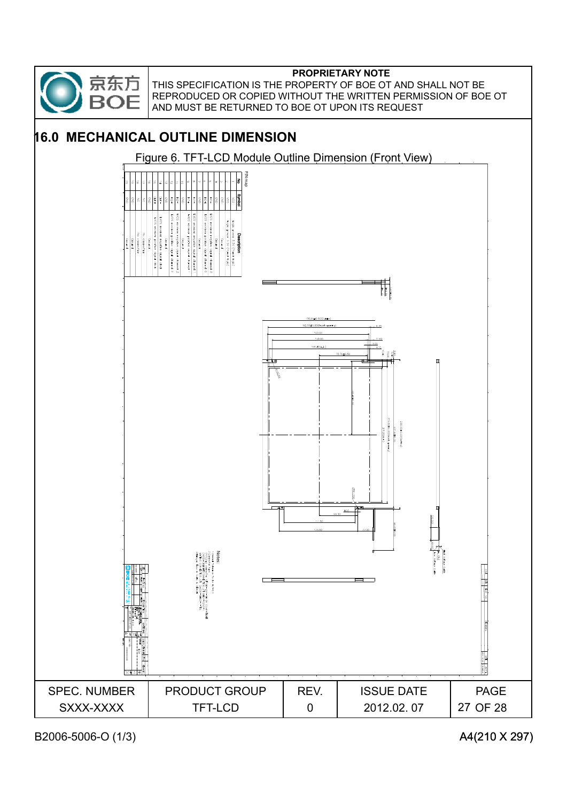

THIS SPECIFICATION IS THE PROPERTY OF BOE OT AND SHALL NOT BE REPRODUCED OR COPIED WITHOUT THE WRITTEN PERMISSION OF BOE OT AND MUST BE RETURNED TO BOE OT UPON ITS REQUEST